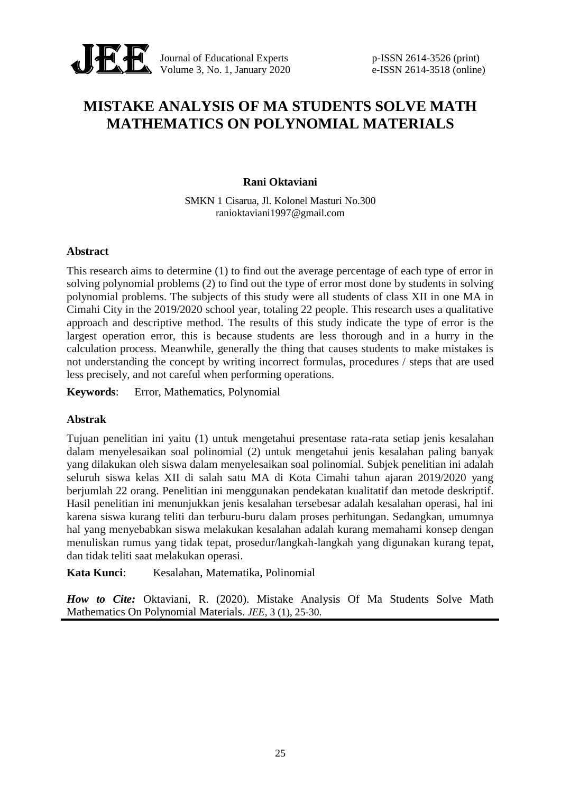

Journal of Educational Experts p-ISSN 2614-3526 (print) Volume 3, No. 1, January 2020 e-ISSN 2614-3518 (online)

# **MISTAKE ANALYSIS OF MA STUDENTS SOLVE MATH MATHEMATICS ON POLYNOMIAL MATERIALS**

### **Rani Oktaviani**

SMKN 1 Cisarua, Jl. Kolonel Masturi No.300 ranioktaviani1997@gmail.com

### **Abstract**

This research aims to determine (1) to find out the average percentage of each type of error in solving polynomial problems (2) to find out the type of error most done by students in solving polynomial problems. The subjects of this study were all students of class XII in one MA in Cimahi City in the 2019/2020 school year, totaling 22 people. This research uses a qualitative approach and descriptive method. The results of this study indicate the type of error is the largest operation error, this is because students are less thorough and in a hurry in the calculation process. Meanwhile, generally the thing that causes students to make mistakes is not understanding the concept by writing incorrect formulas, procedures / steps that are used less precisely, and not careful when performing operations.

**Keywords**: Error, Mathematics, Polynomial

# **Abstrak**

Tujuan penelitian ini yaitu (1) untuk mengetahui presentase rata-rata setiap jenis kesalahan dalam menyelesaikan soal polinomial (2) untuk mengetahui jenis kesalahan paling banyak yang dilakukan oleh siswa dalam menyelesaikan soal polinomial. Subjek penelitian ini adalah seluruh siswa kelas XII di salah satu MA di Kota Cimahi tahun ajaran 2019/2020 yang berjumlah 22 orang. Penelitian ini menggunakan pendekatan kualitatif dan metode deskriptif. Hasil penelitian ini menunjukkan jenis kesalahan tersebesar adalah kesalahan operasi, hal ini karena siswa kurang teliti dan terburu-buru dalam proses perhitungan. Sedangkan, umumnya hal yang menyebabkan siswa melakukan kesalahan adalah kurang memahami konsep dengan menuliskan rumus yang tidak tepat, prosedur/langkah-langkah yang digunakan kurang tepat, dan tidak teliti saat melakukan operasi.

**Kata Kunci**: Kesalahan, Matematika, Polinomial

*How to Cite:* Oktaviani, R. (2020). Mistake Analysis Of Ma Students Solve Math Mathematics On Polynomial Materials. *JEE*, 3 (1), 25-30.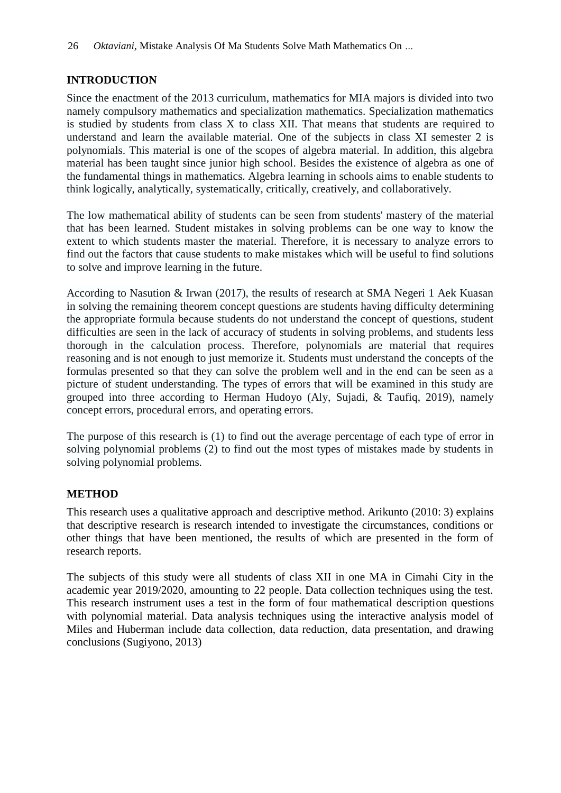# **INTRODUCTION**

Since the enactment of the 2013 curriculum, mathematics for MIA majors is divided into two namely compulsory mathematics and specialization mathematics. Specialization mathematics is studied by students from class X to class XII. That means that students are required to understand and learn the available material. One of the subjects in class XI semester 2 is polynomials. This material is one of the scopes of algebra material. In addition, this algebra material has been taught since junior high school. Besides the existence of algebra as one of the fundamental things in mathematics. Algebra learning in schools aims to enable students to think logically, analytically, systematically, critically, creatively, and collaboratively.

The low mathematical ability of students can be seen from students' mastery of the material that has been learned. Student mistakes in solving problems can be one way to know the extent to which students master the material. Therefore, it is necessary to analyze errors to find out the factors that cause students to make mistakes which will be useful to find solutions to solve and improve learning in the future.

According to Nasution & Irwan (2017), the results of research at SMA Negeri 1 Aek Kuasan in solving the remaining theorem concept questions are students having difficulty determining the appropriate formula because students do not understand the concept of questions, student difficulties are seen in the lack of accuracy of students in solving problems, and students less thorough in the calculation process. Therefore, polynomials are material that requires reasoning and is not enough to just memorize it. Students must understand the concepts of the formulas presented so that they can solve the problem well and in the end can be seen as a picture of student understanding. The types of errors that will be examined in this study are grouped into three according to Herman Hudoyo (Aly, Sujadi, & Taufiq, 2019), namely concept errors, procedural errors, and operating errors.

The purpose of this research is (1) to find out the average percentage of each type of error in solving polynomial problems (2) to find out the most types of mistakes made by students in solving polynomial problems.

# **METHOD**

This research uses a qualitative approach and descriptive method. Arikunto (2010: 3) explains that descriptive research is research intended to investigate the circumstances, conditions or other things that have been mentioned, the results of which are presented in the form of research reports.

The subjects of this study were all students of class XII in one MA in Cimahi City in the academic year 2019/2020, amounting to 22 people. Data collection techniques using the test. This research instrument uses a test in the form of four mathematical description questions with polynomial material. Data analysis techniques using the interactive analysis model of Miles and Huberman include data collection, data reduction, data presentation, and drawing conclusions (Sugiyono, 2013)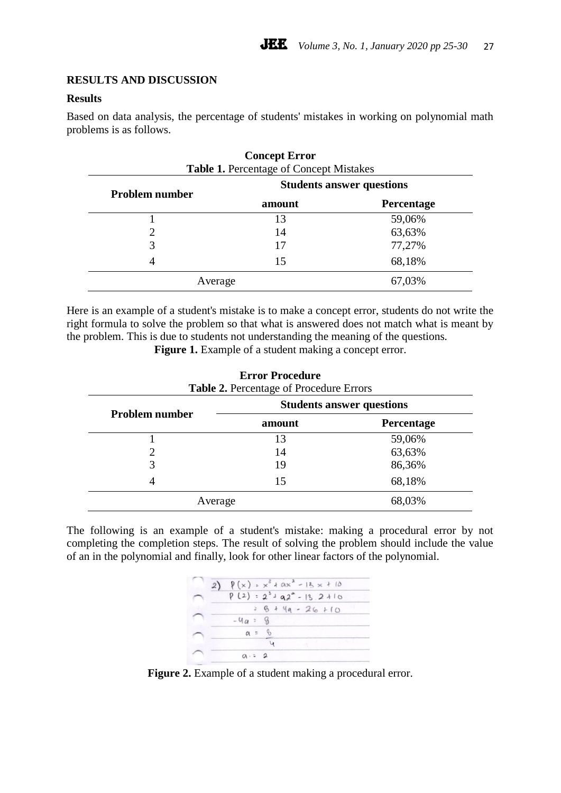### **RESULTS AND DISCUSSION**

### **Results**

Based on data analysis, the percentage of students' mistakes in working on polynomial math problems is as follows.

| <b>Problem number</b> | <b>Students answer questions</b> |            |
|-----------------------|----------------------------------|------------|
|                       | amount                           | Percentage |
|                       | 13                               | 59,06%     |
|                       | 14                               | 63,63%     |
|                       | 17                               | 77,27%     |
|                       | 15                               | 68,18%     |
| Average               |                                  | 67,03%     |

# **Concept Error Table 1.** Percentage of Concept Mistakes

Here is an example of a student's mistake is to make a concept error, students do not write the right formula to solve the problem so that what is answered does not match what is meant by the problem. This is due to students not understanding the meaning of the questions.

Figure 1. Example of a student making a concept error.

| <b>Error Procedure</b><br><b>Table 2.</b> Percentage of Procedure Errors |                                  |                   |  |
|--------------------------------------------------------------------------|----------------------------------|-------------------|--|
| <b>Problem number</b>                                                    | <b>Students answer questions</b> |                   |  |
|                                                                          | amount                           | <b>Percentage</b> |  |
|                                                                          | 13                               | 59,06%            |  |
| 2                                                                        | 14                               | 63,63%            |  |
| 3                                                                        | 19                               | 86,36%            |  |
| 4                                                                        | 15                               | 68,18%            |  |
| Average                                                                  |                                  | 68,03%            |  |

The following is an example of a student's mistake: making a procedural error by not completing the completion steps. The result of solving the problem should include the value of an in the polynomial and finally, look for other linear factors of the polynomial.



Figure 2. Example of a student making a procedural error.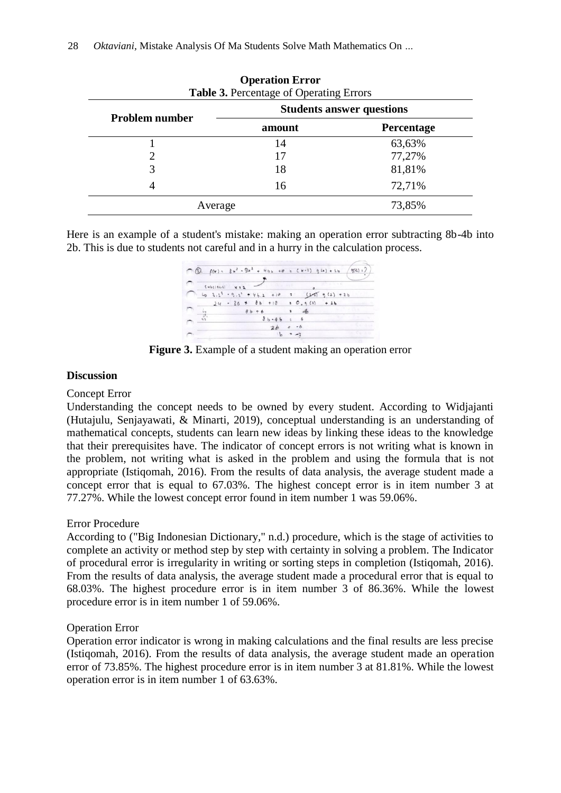| <b>Problem number</b> | <b>Students answer questions</b> |            |
|-----------------------|----------------------------------|------------|
|                       | amount                           | Percentage |
|                       | 14                               | 63,63%     |
|                       | 17                               | 77,27%     |
| 3                     | 18                               | 81,81%     |
| 4                     | 16                               | 72,71%     |
| Average               |                                  | 73,85%     |

### **Operation Error Table 3.** Percentage of Operating Errors

Here is an example of a student's mistake: making an operation error subtracting 8b-4b into 2b. This is due to students not careful and in a hurry in the calculation process.

 $\bigcirc$   $\bigcirc$   $f(x) = 3x^2 - 9x^2 + 4bx + 8x + 10 = 2x+23$   $g(x) + 2x - 2x + 2$  $2b = -6$ 

**Figure 3.** Example of a student making an operation error

### **Discussion**

### Concept Error

Understanding the concept needs to be owned by every student. According to Widjajanti (Hutajulu, Senjayawati, & Minarti, 2019), conceptual understanding is an understanding of mathematical concepts, students can learn new ideas by linking these ideas to the knowledge that their prerequisites have. The indicator of concept errors is not writing what is known in the problem, not writing what is asked in the problem and using the formula that is not appropriate (Istiqomah, 2016). From the results of data analysis, the average student made a concept error that is equal to 67.03%. The highest concept error is in item number 3 at 77.27%. While the lowest concept error found in item number 1 was 59.06%.

### Error Procedure

According to ("Big Indonesian Dictionary," n.d.) procedure, which is the stage of activities to complete an activity or method step by step with certainty in solving a problem. The Indicator of procedural error is irregularity in writing or sorting steps in completion (Istiqomah, 2016). From the results of data analysis, the average student made a procedural error that is equal to 68.03%. The highest procedure error is in item number 3 of 86.36%. While the lowest procedure error is in item number 1 of 59.06%.

### Operation Error

Operation error indicator is wrong in making calculations and the final results are less precise (Istiqomah, 2016). From the results of data analysis, the average student made an operation error of 73.85%. The highest procedure error is in item number 3 at 81.81%. While the lowest operation error is in item number 1 of 63.63%.